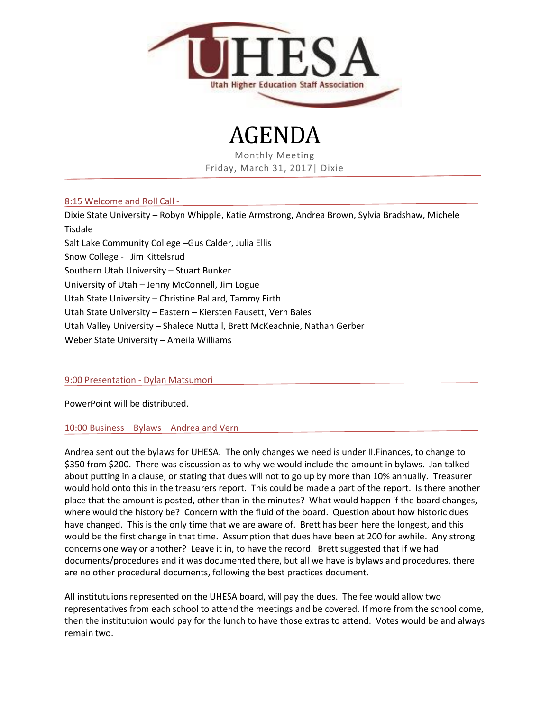

AGENDA

Monthly Meeting Friday, March 31, 2017| Dixie

# 8:15 Welcome and Roll Call -

Dixie State University – Robyn Whipple, Katie Armstrong, Andrea Brown, Sylvia Bradshaw, Michele Tisdale Salt Lake Community College –Gus Calder, Julia Ellis Snow College - Jim Kittelsrud Southern Utah University – Stuart Bunker University of Utah – Jenny McConnell, Jim Logue Utah State University – Christine Ballard, Tammy Firth Utah State University – Eastern – Kiersten Fausett, Vern Bales Utah Valley University – Shalece Nuttall, Brett McKeachnie, Nathan Gerber Weber State University – Ameila Williams

# 9:00 Presentation - Dylan Matsumori

PowerPoint will be distributed.

# 10:00 Business – Bylaws – Andrea and Vern

Andrea sent out the bylaws for UHESA. The only changes we need is under II.Finances, to change to \$350 from \$200. There was discussion as to why we would include the amount in bylaws. Jan talked about putting in a clause, or stating that dues will not to go up by more than 10% annually. Treasurer would hold onto this in the treasurers report. This could be made a part of the report. Is there another place that the amount is posted, other than in the minutes? What would happen if the board changes, where would the history be? Concern with the fluid of the board. Question about how historic dues have changed. This is the only time that we are aware of. Brett has been here the longest, and this would be the first change in that time. Assumption that dues have been at 200 for awhile. Any strong concerns one way or another? Leave it in, to have the record. Brett suggested that if we had documents/procedures and it was documented there, but all we have is bylaws and procedures, there are no other procedural documents, following the best practices document.

All institutuions represented on the UHESA board, will pay the dues. The fee would allow two representatives from each school to attend the meetings and be covered. If more from the school come, then the institutuion would pay for the lunch to have those extras to attend. Votes would be and always remain two.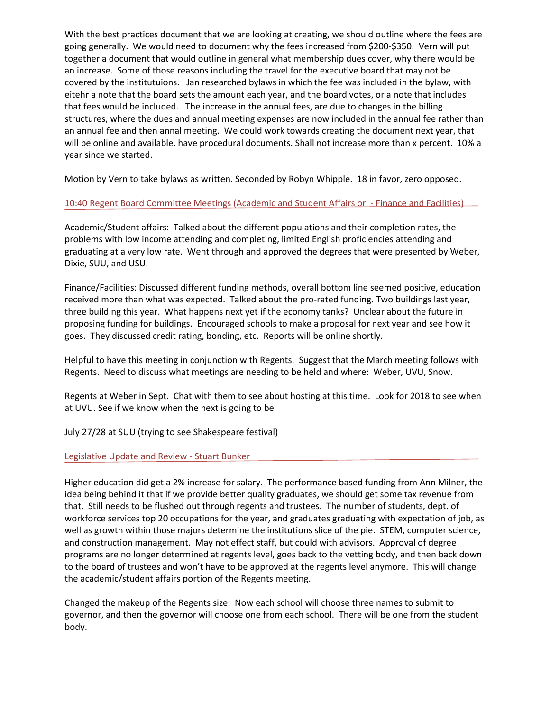With the best practices document that we are looking at creating, we should outline where the fees are going generally. We would need to document why the fees increased from \$200-\$350. Vern will put together a document that would outline in general what membership dues cover, why there would be an increase. Some of those reasons including the travel for the executive board that may not be covered by the institutuions. Jan researched bylaws in which the fee was included in the bylaw, with eitehr a note that the board sets the amount each year, and the board votes, or a note that includes that fees would be included. The increase in the annual fees, are due to changes in the billing structures, where the dues and annual meeting expenses are now included in the annual fee rather than an annual fee and then annal meeting. We could work towards creating the document next year, that will be online and available, have procedural documents. Shall not increase more than x percent. 10% a year since we started.

Motion by Vern to take bylaws as written. Seconded by Robyn Whipple. 18 in favor, zero opposed.

# 10:40 Regent Board Committee Meetings (Academic and Student Affairs or - Finance and Facilities)

Academic/Student affairs: Talked about the different populations and their completion rates, the problems with low income attending and completing, limited English proficiencies attending and graduating at a very low rate. Went through and approved the degrees that were presented by Weber, Dixie, SUU, and USU.

Finance/Facilities: Discussed different funding methods, overall bottom line seemed positive, education received more than what was expected. Talked about the pro-rated funding. Two buildings last year, three building this year. What happens next yet if the economy tanks? Unclear about the future in proposing funding for buildings. Encouraged schools to make a proposal for next year and see how it goes. They discussed credit rating, bonding, etc. Reports will be online shortly.

Helpful to have this meeting in conjunction with Regents. Suggest that the March meeting follows with Regents. Need to discuss what meetings are needing to be held and where: Weber, UVU, Snow.

Regents at Weber in Sept. Chat with them to see about hosting at this time. Look for 2018 to see when at UVU. See if we know when the next is going to be

July 27/28 at SUU (trying to see Shakespeare festival)

# Legislative Update and Review - Stuart Bunker

Higher education did get a 2% increase for salary. The performance based funding from Ann Milner, the idea being behind it that if we provide better quality graduates, we should get some tax revenue from that. Still needs to be flushed out through regents and trustees. The number of students, dept. of workforce services top 20 occupations for the year, and graduates graduating with expectation of job, as well as growth within those majors determine the institutions slice of the pie. STEM, computer science, and construction management. May not effect staff, but could with advisors. Approval of degree programs are no longer determined at regents level, goes back to the vetting body, and then back down to the board of trustees and won't have to be approved at the regents level anymore. This will change the academic/student affairs portion of the Regents meeting.

Changed the makeup of the Regents size. Now each school will choose three names to submit to governor, and then the governor will choose one from each school. There will be one from the student body.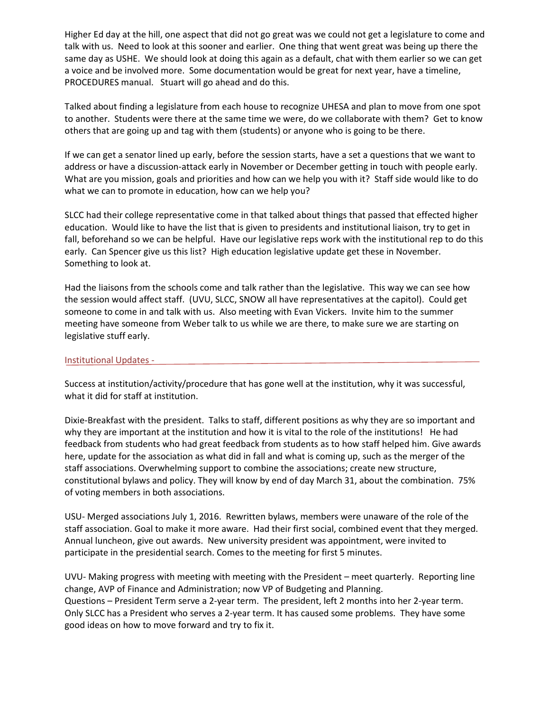Higher Ed day at the hill, one aspect that did not go great was we could not get a legislature to come and talk with us. Need to look at this sooner and earlier. One thing that went great was being up there the same day as USHE. We should look at doing this again as a default, chat with them earlier so we can get a voice and be involved more. Some documentation would be great for next year, have a timeline, PROCEDURES manual. Stuart will go ahead and do this.

Talked about finding a legislature from each house to recognize UHESA and plan to move from one spot to another. Students were there at the same time we were, do we collaborate with them? Get to know others that are going up and tag with them (students) or anyone who is going to be there.

If we can get a senator lined up early, before the session starts, have a set a questions that we want to address or have a discussion-attack early in November or December getting in touch with people early. What are you mission, goals and priorities and how can we help you with it? Staff side would like to do what we can to promote in education, how can we help you?

SLCC had their college representative come in that talked about things that passed that effected higher education. Would like to have the list that is given to presidents and institutional liaison, try to get in fall, beforehand so we can be helpful. Have our legislative reps work with the institutional rep to do this early. Can Spencer give us this list? High education legislative update get these in November. Something to look at.

Had the liaisons from the schools come and talk rather than the legislative. This way we can see how the session would affect staff. (UVU, SLCC, SNOW all have representatives at the capitol). Could get someone to come in and talk with us. Also meeting with Evan Vickers. Invite him to the summer meeting have someone from Weber talk to us while we are there, to make sure we are starting on legislative stuff early.

### Institutional Updates -

Success at institution/activity/procedure that has gone well at the institution, why it was successful, what it did for staff at institution.

Dixie-Breakfast with the president. Talks to staff, different positions as why they are so important and why they are important at the institution and how it is vital to the role of the institutions! He had feedback from students who had great feedback from students as to how staff helped him. Give awards here, update for the association as what did in fall and what is coming up, such as the merger of the staff associations. Overwhelming support to combine the associations; create new structure, constitutional bylaws and policy. They will know by end of day March 31, about the combination. 75% of voting members in both associations.

USU- Merged associations July 1, 2016. Rewritten bylaws, members were unaware of the role of the staff association. Goal to make it more aware. Had their first social, combined event that they merged. Annual luncheon, give out awards. New university president was appointment, were invited to participate in the presidential search. Comes to the meeting for first 5 minutes.

UVU- Making progress with meeting with meeting with the President – meet quarterly. Reporting line change, AVP of Finance and Administration; now VP of Budgeting and Planning. Questions – President Term serve a 2-year term. The president, left 2 months into her 2-year term. Only SLCC has a President who serves a 2-year term. It has caused some problems. They have some good ideas on how to move forward and try to fix it.